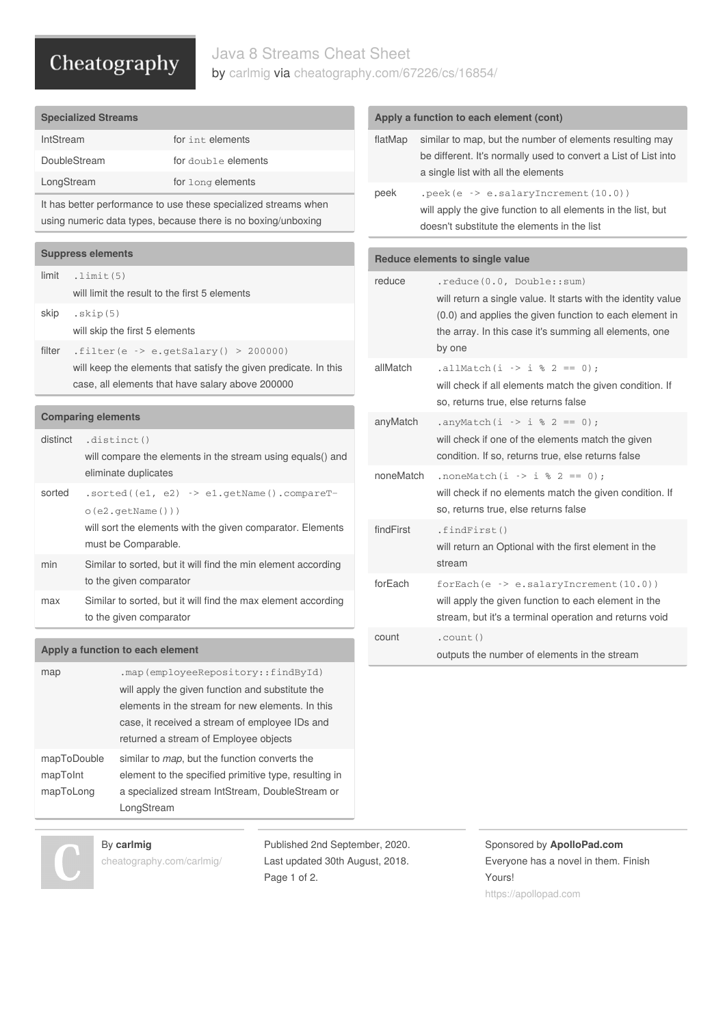# Cheatography

### Java 8 Streams Cheat Sheet by [carlmig](http://www.cheatography.com/carlmig/) via [cheatography.com/67226/cs/16854/](http://www.cheatography.com/carlmig/cheat-sheets/java-8-streams)

| <b>Specialized Streams</b>                                                                                                       |                                                                  |                                                                  |  |  |
|----------------------------------------------------------------------------------------------------------------------------------|------------------------------------------------------------------|------------------------------------------------------------------|--|--|
| IntStream                                                                                                                        |                                                                  | for int elements                                                 |  |  |
| DoubleStream                                                                                                                     |                                                                  | for double elements                                              |  |  |
| LongStream                                                                                                                       |                                                                  | for long elements                                                |  |  |
| It has better performance to use these specialized streams when<br>using numeric data types, because there is no boxing/unboxing |                                                                  |                                                                  |  |  |
|                                                                                                                                  | <b>Suppress elements</b>                                         |                                                                  |  |  |
|                                                                                                                                  |                                                                  |                                                                  |  |  |
| limit                                                                                                                            | $.$ limit $(5)$<br>will limit the result to the first 5 elements |                                                                  |  |  |
| skip                                                                                                                             | .skip(5)                                                         |                                                                  |  |  |
|                                                                                                                                  | will skip the first 5 elements                                   |                                                                  |  |  |
| filter                                                                                                                           |                                                                  | .filter(e -> e.getSalary() > 200000)                             |  |  |
|                                                                                                                                  |                                                                  | will keep the elements that satisfy the given predicate. In this |  |  |
|                                                                                                                                  |                                                                  | case, all elements that have salary above 200000                 |  |  |
|                                                                                                                                  |                                                                  |                                                                  |  |  |
| <b>Comparing elements</b>                                                                                                        |                                                                  |                                                                  |  |  |
| distinct                                                                                                                         | .distinct()                                                      |                                                                  |  |  |
|                                                                                                                                  | eliminate duplicates                                             | will compare the elements in the stream using equals() and       |  |  |
| sorted                                                                                                                           |                                                                  | $.sorted((e1, e2) \rightarrow e1.getName() .compareT-$           |  |  |

o(e2.getName())) will sort the elements with the given comparator. Elements must be Comparable.

- min Similar to sorted, but it will find the min element according to the given comparator
- max Similar to sorted, but it will find the max element according to the given comparator

#### **Apply a function to each element**

| map         | .map(employeeRepository::findById)                    |
|-------------|-------------------------------------------------------|
|             | will apply the given function and substitute the      |
|             | elements in the stream for new elements. In this      |
|             | case, it received a stream of employee IDs and        |
|             | returned a stream of Employee objects                 |
| mapToDouble | similar to <i>map</i> , but the function converts the |
| mapToInt    | element to the specified primitive type, resulting in |
| mapToLong   | a specialized stream IntStream, DoubleStream or       |
|             | LongStream                                            |

By **carlmig** [cheatography.com/carlmig/](http://www.cheatography.com/carlmig/) Published 2nd September, 2020. Last updated 30th August, 2018. Page 1 of 2.

#### Sponsored by **ApolloPad.com** Everyone has a novel in them. Finish Yours! <https://apollopad.com>

| flatMap                         | similar to map, but the number of elements resulting may<br>be different. It's normally used to convert a List of List into<br>a single list with all the elements                                                        |  |
|---------------------------------|---------------------------------------------------------------------------------------------------------------------------------------------------------------------------------------------------------------------------|--|
| peek                            | $.\text{peak}(e \rightarrow e.\text{salaryIncrement}(10.0))$<br>will apply the give function to all elements in the list, but<br>doesn't substitute the elements in the list                                              |  |
| Reduce elements to single value |                                                                                                                                                                                                                           |  |
| reduce                          | .reduce(0.0, Double::sum)<br>will return a single value. It starts with the identity value<br>(0.0) and applies the given function to each element in<br>the array. In this case it's summing all elements, one<br>by one |  |
| allMatch                        | .allMatch(i -> i % 2 == 0);<br>will check if all elements match the given condition. If<br>so, returns true, else returns false                                                                                           |  |
| anyMatch                        | .anyMatch(i -> i % 2 == 0);<br>will check if one of the elements match the given<br>condition. If so, returns true, else returns false                                                                                    |  |
| noneMatch                       | .noneMatch(i -> i % 2 == 0) :<br>will check if no elements match the given condition. If<br>so, returns true, else returns false                                                                                          |  |
| findFirst                       | .findFirst()<br>will return an Optional with the first element in the<br>stream                                                                                                                                           |  |
| forEach                         | $for \text{Each} (e \rightarrow e \cdot salary \text{Increment}(10.0))$<br>will apply the given function to each element in the<br>stream, but it's a terminal operation and returns void                                 |  |
| count                           | .count()<br>outputs the number of elements in the stream                                                                                                                                                                  |  |

#### **Apply a function to each element (cont)**